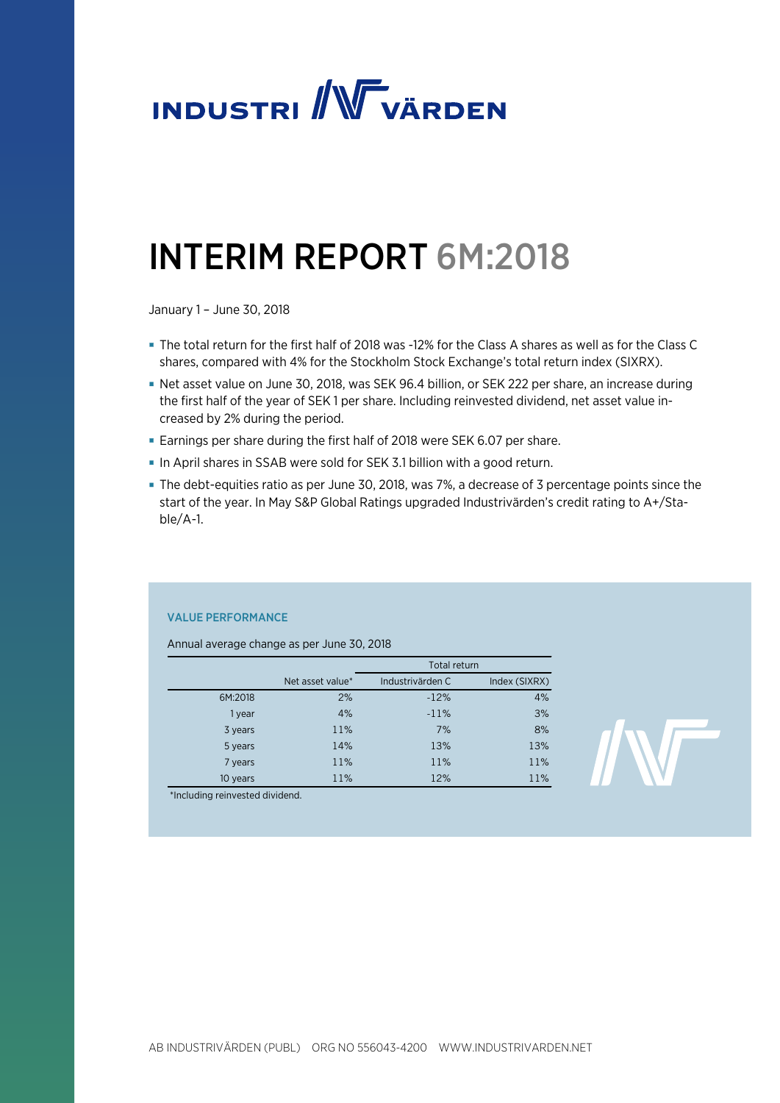

# INTERIM REPORT 6M:2018

January 1 – June 30, 2018

- The total return for the first half of 2018 was -12% for the Class A shares as well as for the Class C shares, compared with 4% for the Stockholm Stock Exchange's total return index (SIXRX).
- Net asset value on June 30, 2018, was SEK 96.4 billion, or SEK 222 per share, an increase during the first half of the year of SEK 1 per share. Including reinvested dividend, net asset value increased by 2% during the period.
- Earnings per share during the first half of 2018 were SEK 6.07 per share.
- In April shares in SSAB were sold for SEK 3.1 billion with a good return.
- The debt-equities ratio as per June 30, 2018, was 7%, a decrease of 3 percentage points since the start of the year. In May S&P Global Ratings upgraded Industrivärden's credit rating to A+/Stable/A-1.

### VALUE PERFORMANCE

Annual average change as per June 30, 2018

|          |                  | <b>Total return</b> |               |
|----------|------------------|---------------------|---------------|
|          | Net asset value* | Industrivärden C    | Index (SIXRX) |
| 6M:2018  | 2%               | $-12%$              | 4%            |
| 1 year   | 4%               | $-11%$              | 3%            |
| 3 years  | 11%              | 7%                  | 8%            |
| 5 years  | 14%              | 13%                 | 13%           |
| 7 years  | 11%              | 11%                 | 11%           |
| 10 years | 11%              | 12%                 | 11%           |

\*Including reinvested dividend.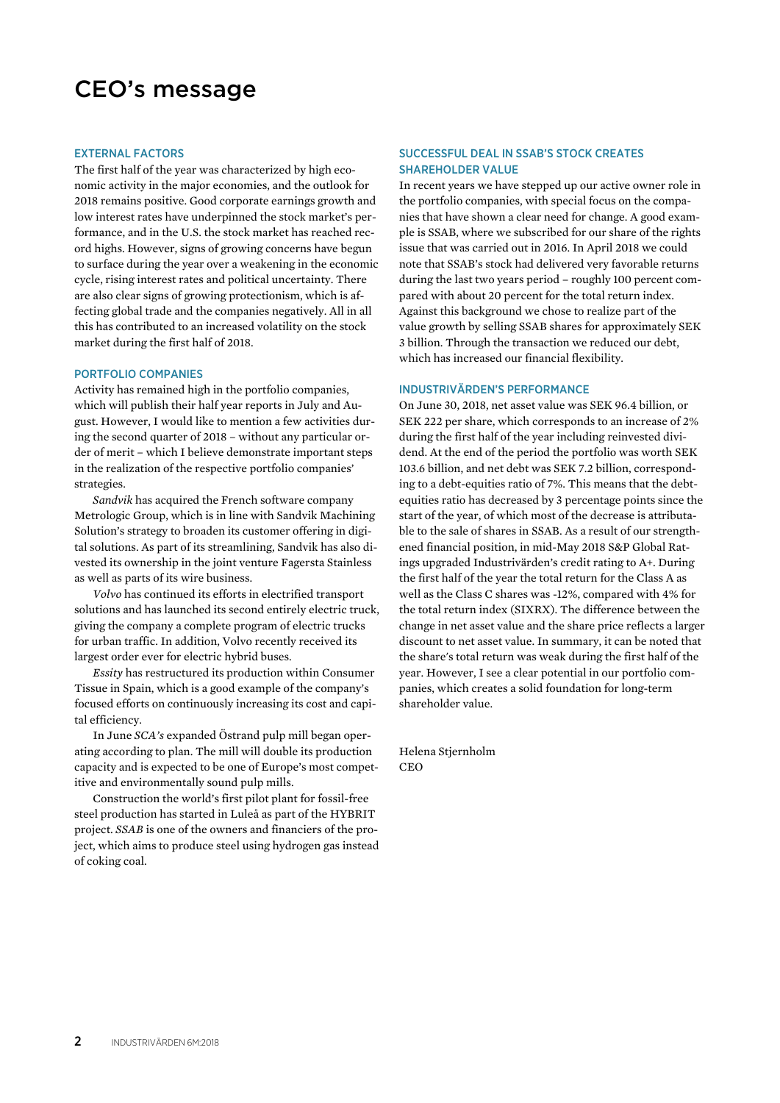### CEO's message

### EXTERNAL FACTORS

The first half of the year was characterized by high economic activity in the major economies, and the outlook for 2018 remains positive. Good corporate earnings growth and low interest rates have underpinned the stock market's performance, and in the U.S. the stock market has reached record highs. However, signs of growing concerns have begun to surface during the year over a weakening in the economic cycle, rising interest rates and political uncertainty. There are also clear signs of growing protectionism, which is affecting global trade and the companies negatively. All in all this has contributed to an increased volatility on the stock market during the first half of 2018.

#### PORTFOLIO COMPANIES

Activity has remained high in the portfolio companies, which will publish their half year reports in July and August. However, I would like to mention a few activities during the second quarter of 2018 – without any particular order of merit – which I believe demonstrate important steps in the realization of the respective portfolio companies' strategies.

*Sandvik* has acquired the French software company Metrologic Group, which is in line with Sandvik Machining Solution's strategy to broaden its customer offering in digital solutions. As part of its streamlining, Sandvik has also divested its ownership in the joint venture Fagersta Stainless as well as parts of its wire business.

*Volvo* has continued its efforts in electrified transport solutions and has launched its second entirely electric truck, giving the company a complete program of electric trucks for urban traffic. In addition, Volvo recently received its largest order ever for electric hybrid buses.

*Essity* has restructured its production within Consumer Tissue in Spain, which is a good example of the company's focused efforts on continuously increasing its cost and capital efficiency.

In June *SCA's* expanded Östrand pulp mill began operating according to plan. The mill will double its production capacity and is expected to be one of Europe's most competitive and environmentally sound pulp mills.

Construction the world's first pilot plant for fossil-free steel production has started in Luleå as part of the HYBRIT project. *SSAB* is one of the owners and financiers of the project, which aims to produce steel using hydrogen gas instead of coking coal.

### SUCCESSFUL DEAL IN SSAB'S STOCK CREATES SHAREHOLDER VALUE

In recent years we have stepped up our active owner role in the portfolio companies, with special focus on the companies that have shown a clear need for change. A good example is SSAB, where we subscribed for our share of the rights issue that was carried out in 2016. In April 2018 we could note that SSAB's stock had delivered very favorable returns during the last two years period – roughly 100 percent compared with about 20 percent for the total return index. Against this background we chose to realize part of the value growth by selling SSAB shares for approximately SEK 3 billion. Through the transaction we reduced our debt, which has increased our financial flexibility.

#### INDUSTRIVÄRDEN'S PERFORMANCE

On June 30, 2018, net asset value was SEK 96.4 billion, or SEK 222 per share, which corresponds to an increase of 2% during the first half of the year including reinvested dividend. At the end of the period the portfolio was worth SEK 103.6 billion, and net debt was SEK 7.2 billion, corresponding to a debt-equities ratio of 7%. This means that the debtequities ratio has decreased by 3 percentage points since the start of the year, of which most of the decrease is attributable to the sale of shares in SSAB. As a result of our strengthened financial position, in mid-May 2018 S&P Global Ratings upgraded Industrivärden's credit rating to A+. During the first half of the year the total return for the Class A as well as the Class C shares was -12%, compared with 4% for the total return index (SIXRX). The difference between the change in net asset value and the share price reflects a larger discount to net asset value. In summary, it can be noted that the share's total return was weak during the first half of the year. However, I see a clear potential in our portfolio companies, which creates a solid foundation for long-term shareholder value.

Helena Stjernholm **CEO**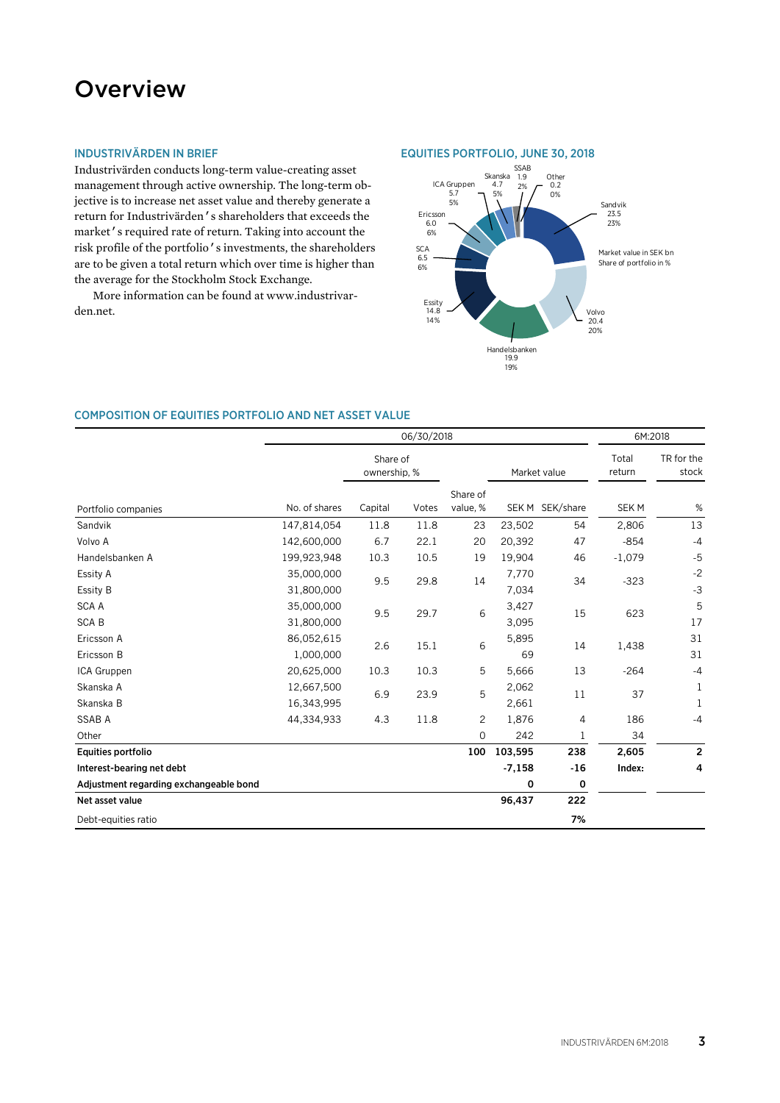### **Overview**

### INDUSTRIVÄRDEN IN BRIEF

Industrivärden conducts long-term value-creating asset management through active ownership. The long-term objective is to increase net asset value and thereby generate a return for Industrivärden's shareholders that exceeds the market's required rate of return. Taking into account the risk profile of the portfolio's investments, the shareholders are to be given a total return which over time is higher than the average for the Stockholm Stock Exchange.

More information can be found at www.industrivarden.net.





### COMPOSITION OF EQUITIES PORTFOLIO AND NET ASSET VALUE

|                                        |                          |                          | 06/30/2018 |                      |                |                 |                 | 6M:2018                 |  |
|----------------------------------------|--------------------------|--------------------------|------------|----------------------|----------------|-----------------|-----------------|-------------------------|--|
|                                        |                          | Share of<br>ownership, % |            |                      |                | Market value    | Total<br>return | TR for the<br>stock     |  |
| Portfolio companies                    | No. of shares            | Capital                  | Votes      | Share of<br>value, % |                | SEK M SEK/share | SEK M           | %                       |  |
| Sandvik                                | 147,814,054              | 11.8                     | 11.8       | 23                   | 23,502         | 54              | 2,806           | 13                      |  |
| Volvo A                                | 142,600,000              | 6.7                      | 22.1       | 20                   | 20,392         | 47              | $-854$          | $-4$                    |  |
| Handelsbanken A                        | 199,923,948              | 10.3                     | 10.5       | 19                   | 19,904         | 46              | $-1,079$        | $-5$                    |  |
| Essity A<br>Essity B                   | 35,000,000<br>31,800,000 | 9.5                      | 29.8       | 14                   | 7,770<br>7,034 | 34              | $-323$          | $-2$<br>$-3$            |  |
| <b>SCA A</b><br><b>SCAB</b>            | 35,000,000<br>31,800,000 | 9.5                      | 29.7       | 6                    | 3,427<br>3,095 | 15              | 623             | 5<br>17                 |  |
| Ericsson A<br>Ericsson B               | 86,052,615<br>1,000,000  | 2.6                      | 15.1       | 6                    | 5,895<br>69    | 14              | 1,438           | 31<br>31                |  |
| ICA Gruppen                            | 20,625,000               | 10.3                     | 10.3       | 5                    | 5,666          | 13              | $-264$          | $-4$                    |  |
| Skanska A<br>Skanska B                 | 12,667,500<br>16,343,995 | 6.9                      | 23.9       | 5                    | 2,062<br>2,661 | 11              | 37              | 1<br>1                  |  |
| <b>SSAB A</b>                          | 44,334,933               | 4.3                      | 11.8       | $\overline{c}$       | 1,876          | 4               | 186             | $-4$                    |  |
| Other                                  |                          |                          |            | $\mathbf 0$          | 242            | $\mathbf 1$     | 34              |                         |  |
| Equities portfolio                     |                          |                          |            | 100                  | 103,595        | 238             | 2,605           | $\overline{\mathbf{c}}$ |  |
| Interest-bearing net debt              |                          |                          |            |                      | $-7,158$       | $-16$           | Index:          | 4                       |  |
| Adjustment regarding exchangeable bond |                          |                          |            |                      | 0              | 0               |                 |                         |  |
| Net asset value                        |                          |                          |            |                      | 96,437         | 222             |                 |                         |  |
| Debt-equities ratio                    |                          |                          |            |                      |                | 7%              |                 |                         |  |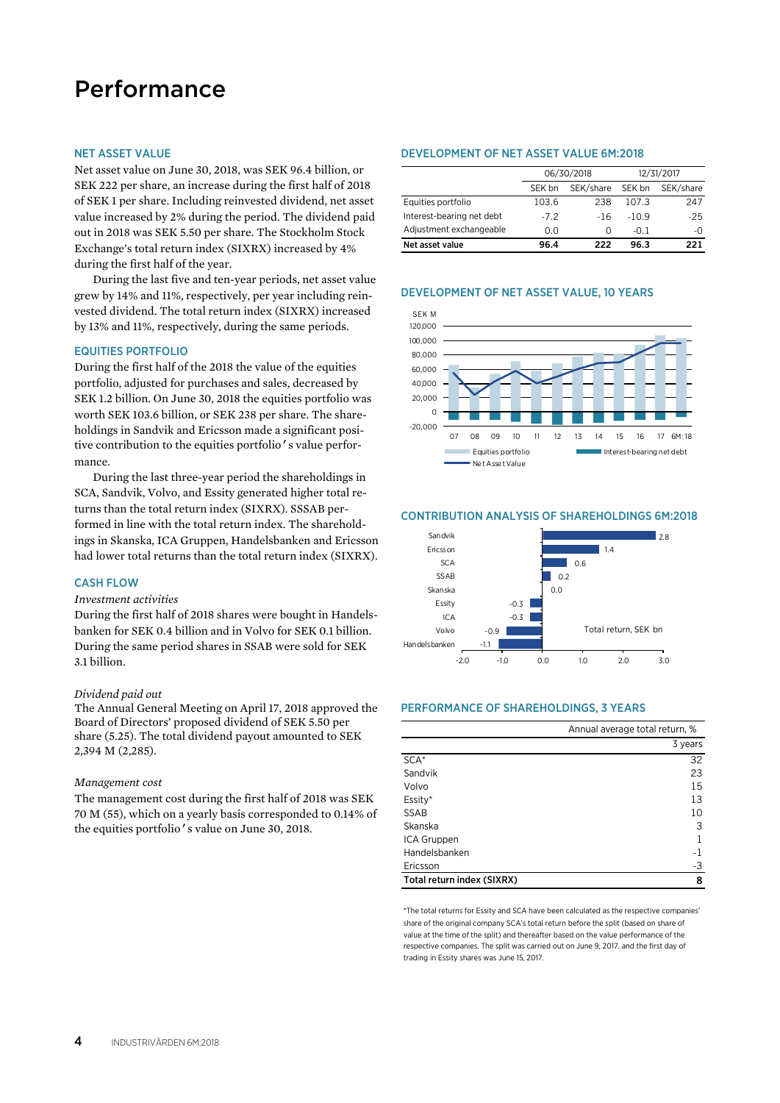## Performance

### NET ASSET VALUE

Net asset value on June 30, 2018, was SEK 96.4 billion, or SEK 222 per share, an increase during the first half of 2018 of SEK 1 per share. Including reinvested dividend, net asset value increased by 2% during the period. The dividend paid out in 2018 was SEK 5.50 per share. The Stockholm Stock Exchange's total return index (SIXRX) increased by 4% during the first half of the year.

During the last five and ten-year periods, net asset value grew by 14% and 11%, respectively, per year including reinvested dividend. The total return index (SIXRX) increased by 13% and 11%, respectively, during the same periods.

### EQUITIES PORTFOLIO

During the first half of the 2018 the value of the equities portfolio, adjusted for purchases and sales, decreased by SEK 1.2 billion. On June 30, 2018 the equities portfolio was worth SEK 103.6 billion, or SEK 238 per share. The shareholdings in Sandvik and Ericsson made a significant positive contribution to the equities portfolio's value performance.

During the last three-year period the shareholdings in SCA, Sandvik, Volvo, and Essity generated higher total returns than the total return index (SIXRX). SSSAB performed in line with the total return index. The shareholdings in Skanska, ICA Gruppen, Handelsbanken and Ericsson had lower total returns than the total return index (SIXRX).

### CASH FLOW

### *Investment activities*

During the first half of 2018 shares were bought in Handelsbanken for SEK 0.4 billion and in Volvo for SEK 0.1 billion. During the same period shares in SSAB were sold for SEK 3.1 billion.

### *Dividend paid out*

The Annual General Meeting on April 17, 2018 approved the Board of Directors' proposed dividend of SEK 5.50 per share (5.25). The total dividend payout amounted to SEK 2,394 M (2,285).

#### *Management cost*

The management cost during the first half of 2018 was SEK 70 M (55), which on a yearly basis corresponded to 0.14% of the equities portfolio's value on June 30, 2018.

### DEVELOPMENT OF NET ASSET VALUE 6M:2018

|                           |        | 06/30/2018 |         | 12/31/2017 |
|---------------------------|--------|------------|---------|------------|
|                           | SEK bn | SEK/share  | SEK bn  | SEK/share  |
| Equities portfolio        | 103.6  | 238        | 107.3   | 247        |
| Interest-bearing net debt | $-7.2$ | $-16$      | $-10.9$ | $-25$      |
| Adjustment exchangeable   | 0.0    | O          | $-0.1$  | -0         |
| Net asset value           | 96.4   | 222        | 96.3    | 221        |

### DEVELOPMENT OF NET ASSET VALUE, 10 YEARS



#### -1.1  $-0.9$ -0.3 -0.3  $0.0$  $0.2$ 0.6  $1.4$  $\overline{28}$ -2.0 -1.0 0.0 1.0 2.0 3.0 Handelsbanken Volvo  $ICA$ Essity Skanska SSAB **SCA** Ericsson Sandvik Total return, SEK bn

CONTRIBUTION ANALYSIS OF SHAREHOLDINGS 6M:2018

### PERFORMANCE OF SHAREHOLDINGS, 3 YEARS

|                            | Annual average total return, % |
|----------------------------|--------------------------------|
|                            | 3 years                        |
| $SCA*$                     | 32                             |
| Sandvik                    | 23                             |
| Volvo                      | 15                             |
| Essity*                    | 13                             |
| <b>SSAB</b>                | 10                             |
| Skanska                    | 3                              |
| ICA Gruppen                |                                |
| Handelsbanken              | $-1$                           |
| Ericsson                   | -3                             |
| Total return index (SIXRX) | 8                              |

\*The total returns for Essity and SCA have been calculated as the respective companies' share of the original company SCA's total return before the split (based on share of value at the time of the split) and thereafter based on the value performance of the respective companies. The split was carried out on June 9, 2017, and the first day of trading in Essity shares was June 15, 2017.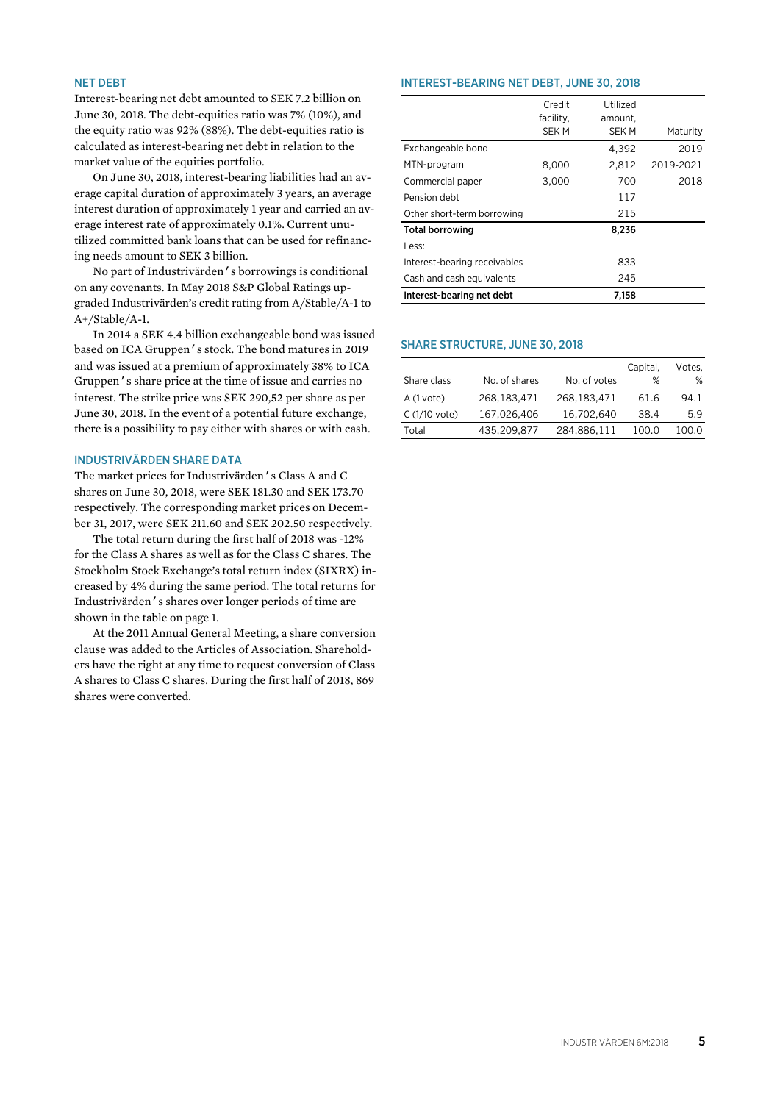### NET DEBT

Interest-bearing net debt amounted to SEK 7.2 billion on June 30, 2018. The debt-equities ratio was 7% (10%), and the equity ratio was 92% (88%). The debt-equities ratio is calculated as interest-bearing net debt in relation to the market value of the equities portfolio.

On June 30, 2018, interest-bearing liabilities had an average capital duration of approximately 3 years, an average interest duration of approximately 1 year and carried an average interest rate of approximately 0.1%. Current unutilized committed bank loans that can be used for refinancing needs amount to SEK 3 billion.

No part of Industrivärden's borrowings is conditional on any covenants. In May 2018 S&P Global Ratings upgraded Industrivärden's credit rating from A/Stable/A-1 to A+/Stable/A-1.

In 2014 a SEK 4.4 billion exchangeable bond was issued based on ICA Gruppen's stock. The bond matures in 2019 and was issued at a premium of approximately 38% to ICA Gruppen's share price at the time of issue and carries no interest. The strike price was SEK 290,52 per share as per June 30, 2018. In the event of a potential future exchange, there is a possibility to pay either with shares or with cash.

### INDUSTRIVÄRDEN SHARE DATA

The market prices for Industrivärden's Class A and C shares on June 30, 2018, were SEK 181.30 and SEK 173.70 respectively. The corresponding market prices on December 31, 2017, were SEK 211.60 and SEK 202.50 respectively.

The total return during the first half of 2018 was -12% for the Class A shares as well as for the Class C shares. The Stockholm Stock Exchange's total return index (SIXRX) increased by 4% during the same period. The total returns for Industrivärden's shares over longer periods of time are shown in the table on page 1.

At the 2011 Annual General Meeting, a share conversion clause was added to the Articles of Association. Shareholders have the right at any time to request conversion of Class A shares to Class C shares. During the first half of 2018, 869 shares were converted.

### INTEREST-BEARING NET DEBT, JUNE 30, 2018

|                              | Credit                   | Utilized                |           |
|------------------------------|--------------------------|-------------------------|-----------|
|                              | facility,<br><b>SEKM</b> | amount.<br><b>SEK M</b> | Maturity  |
| Exchangeable bond            |                          | 4,392                   | 2019      |
| MTN-program                  | 8,000                    | 2,812                   | 2019-2021 |
| Commercial paper             | 3,000                    | 700                     | 2018      |
| Pension debt                 |                          | 117                     |           |
| Other short-term borrowing   |                          | 215                     |           |
| <b>Total borrowing</b>       |                          | 8,236                   |           |
| Less:                        |                          |                         |           |
| Interest-bearing receivables |                          | 833                     |           |
| Cash and cash equivalents    |                          | 245                     |           |
| Interest-bearing net debt    |                          | 7.158                   |           |

### SHARE STRUCTURE, JUNE 30, 2018

|               |               |              | Capital. | Votes. |
|---------------|---------------|--------------|----------|--------|
| Share class   | No. of shares | No. of votes | %        | %      |
| A (1 vote)    | 268, 183, 471 | 268,183,471  | 61.6     | 94.1   |
| C (1/10 vote) | 167,026,406   | 16,702,640   | 38.4     | 5.9    |
| Total         | 435,209,877   | 284,886,111  | 100.0    | 100.0  |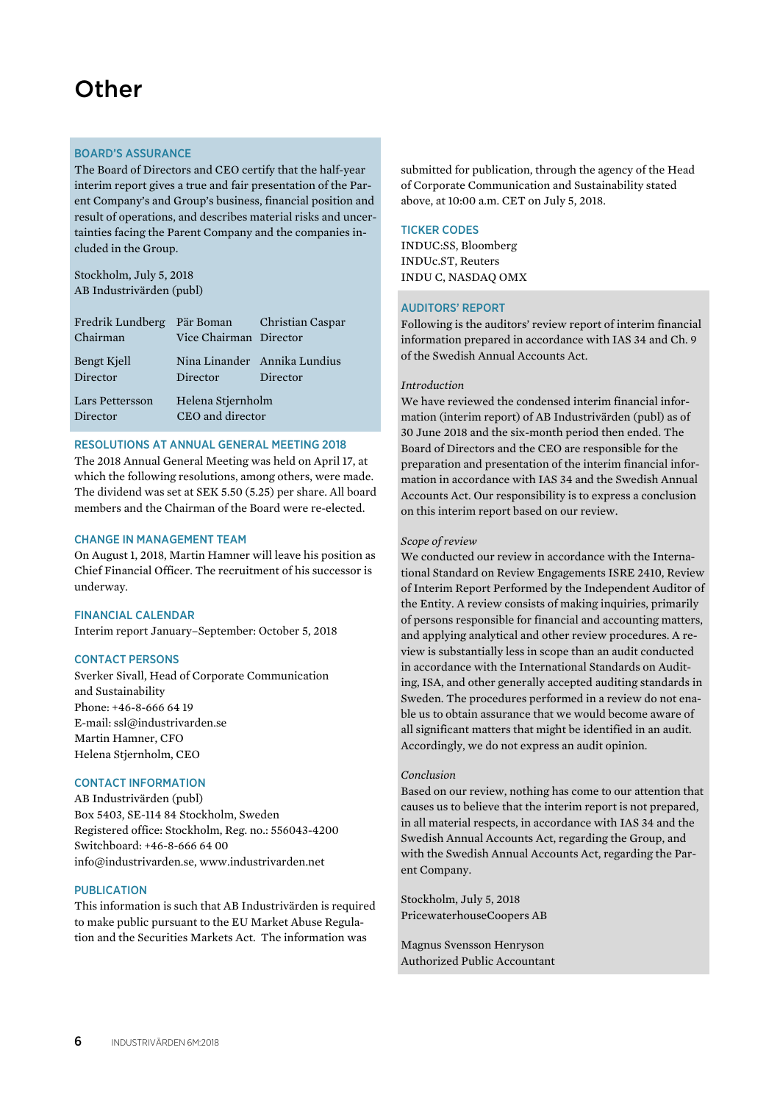### **Other**

### BOARD'S ASSURANCE

The Board of Directors and CEO certify that the half-year interim report gives a true and fair presentation of the Parent Company's and Group's business, financial position and result of operations, and describes material risks and uncertainties facing the Parent Company and the companies included in the Group.

Stockholm, July 5, 2018 AB Industrivärden (publ)

| Fredrik Lundberg Pär Boman Christian Caspar<br>Chairman | Vice Chairman Director                |                                          |
|---------------------------------------------------------|---------------------------------------|------------------------------------------|
| Bengt Kjell<br>Director                                 | Director                              | Nina Linander Annika Lundius<br>Director |
| Lars Pettersson<br>Director                             | Helena Stjernholm<br>CEO and director |                                          |

### RESOLUTIONS AT ANNUAL GENERAL MEETING 2018

The 2018 Annual General Meeting was held on April 17, at which the following resolutions, among others, were made. The dividend was set at SEK 5.50 (5.25) per share. All board members and the Chairman of the Board were re-elected.

### CHANGE IN MANAGEMENT TEAM

On August 1, 2018, Martin Hamner will leave his position as Chief Financial Officer. The recruitment of his successor is underway.

### FINANCIAL CALENDAR

Interim report January–September: October 5, 2018

### CONTACT PERSONS

Sverker Sivall, Head of Corporate Communication and Sustainability Phone: +46-8-666 64 19 E-mail: ssl@industrivarden.se Martin Hamner, CFO Helena Stjernholm, CEO

### CONTACT INFORMATION

AB Industrivärden (publ) Box 5403, SE-114 84 Stockholm, Sweden Registered office: Stockholm, Reg. no.: 556043-4200 Switchboard: +46-8-666 64 00 info@industrivarden.se, www.industrivarden.net

### **PUBLICATION**

This information is such that AB Industrivärden is required to make public pursuant to the EU Market Abuse Regulation and the Securities Markets Act. The information was

submitted for publication, through the agency of the Head of Corporate Communication and Sustainability stated above, at 10:00 a.m. CET on July 5, 2018.

### TICKER CODES

INDUC:SS, Bloomberg INDUc.ST, Reuters INDU C, NASDAQ OMX

### AUDITORS' REPORT

Following is the auditors' review report of interim financial information prepared in accordance with IAS 34 and Ch. 9 of the Swedish Annual Accounts Act.

### *Introduction*

We have reviewed the condensed interim financial information (interim report) of AB Industrivärden (publ) as of 30 June 2018 and the six-month period then ended. The Board of Directors and the CEO are responsible for the preparation and presentation of the interim financial information in accordance with IAS 34 and the Swedish Annual Accounts Act. Our responsibility is to express a conclusion on this interim report based on our review.

### *Scope of review*

We conducted our review in accordance with the International Standard on Review Engagements ISRE 2410, Review of Interim Report Performed by the Independent Auditor of the Entity. A review consists of making inquiries, primarily of persons responsible for financial and accounting matters, and applying analytical and other review procedures. A review is substantially less in scope than an audit conducted in accordance with the International Standards on Auditing, ISA, and other generally accepted auditing standards in Sweden. The procedures performed in a review do not enable us to obtain assurance that we would become aware of all significant matters that might be identified in an audit. Accordingly, we do not express an audit opinion.

#### *Conclusion*

Based on our review, nothing has come to our attention that causes us to believe that the interim report is not prepared, in all material respects, in accordance with IAS 34 and the Swedish Annual Accounts Act, regarding the Group, and with the Swedish Annual Accounts Act, regarding the Parent Company.

Stockholm, July 5, 2018 PricewaterhouseCoopers AB

Magnus Svensson Henryson Authorized Public Accountant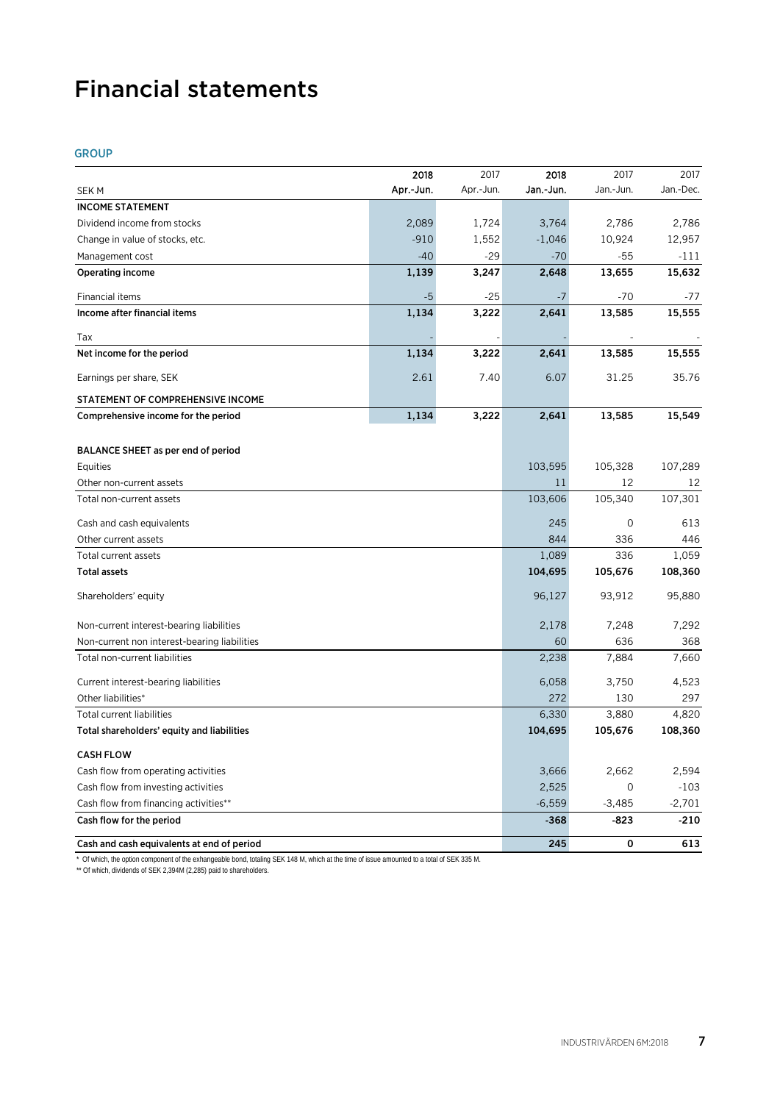## Financial statements

### GROUP

|                                              | 2018      | 2017      | 2018      | 2017         | 2017      |
|----------------------------------------------|-----------|-----------|-----------|--------------|-----------|
| <b>SEKM</b>                                  | Apr.-Jun. | Apr.-Jun. | Jan.-Jun. | Jan.-Jun.    | Jan.-Dec. |
| <b>INCOME STATEMENT</b>                      |           |           |           |              |           |
| Dividend income from stocks                  | 2,089     | 1,724     | 3,764     | 2,786        | 2,786     |
| Change in value of stocks, etc.              | $-910$    | 1,552     | $-1,046$  | 10,924       | 12,957    |
| Management cost                              | $-40$     | $-29$     | $-70$     | $-55$        | $-111$    |
| <b>Operating income</b>                      | 1,139     | 3,247     | 2,648     | 13,655       | 15,632    |
| Financial items                              | $-5$      | -25       | $-7$      | $-70$        | -77       |
| Income after financial items                 | 1,134     | 3,222     | 2,641     | 13,585       | 15,555    |
| Tax                                          |           |           |           |              |           |
| Net income for the period                    | 1,134     | 3,222     | 2,641     | 13,585       | 15,555    |
| Earnings per share, SEK                      | 2.61      | 7.40      | 6.07      | 31.25        | 35.76     |
| STATEMENT OF COMPREHENSIVE INCOME            |           |           |           |              |           |
| Comprehensive income for the period          | 1,134     | 3,222     | 2,641     | 13,585       | 15,549    |
|                                              |           |           |           |              |           |
| BALANCE SHEET as per end of period           |           |           |           |              |           |
| Equities                                     |           |           | 103,595   | 105,328      | 107,289   |
| Other non-current assets                     |           |           | 11        | 12           | 12        |
| Total non-current assets                     |           |           | 103,606   | 105,340      | 107,301   |
| Cash and cash equivalents                    |           |           | 245       | $\mathbf{O}$ | 613       |
| Other current assets                         |           |           | 844       | 336          | 446       |
| Total current assets                         |           |           | 1,089     | 336          | 1,059     |
| <b>Total assets</b>                          |           |           | 104,695   | 105,676      | 108,360   |
| Shareholders' equity                         |           |           | 96,127    | 93,912       | 95,880    |
| Non-current interest-bearing liabilities     |           |           | 2,178     | 7,248        | 7,292     |
| Non-current non interest-bearing liabilities |           |           | 60        | 636          | 368       |
| Total non-current liabilities                |           |           | 2,238     | 7,884        | 7,660     |
| Current interest-bearing liabilities         |           |           | 6,058     | 3,750        | 4,523     |
| Other liabilities*                           |           |           | 272       | 130          | 297       |
| Total current liabilities                    |           |           | 6,330     | 3,880        | 4,820     |
| Total shareholders' equity and liabilities   |           |           | 104,695   | 105,676      | 108,360   |
| <b>CASH FLOW</b>                             |           |           |           |              |           |
| Cash flow from operating activities          |           |           | 3,666     | 2,662        | 2,594     |
| Cash flow from investing activities          |           |           | 2,525     | $\mathbf 0$  | $-103$    |
| Cash flow from financing activities**        |           |           | $-6,559$  | $-3,485$     | $-2,701$  |
| Cash flow for the period                     |           |           | $-368$    | $-823$       | $-210$    |
| Cash and cash equivalents at end of period   |           |           | 245       | 0            | 613       |

\* Of which, the option component of the exhangeable bond, totaling SEK 148 M, which at the time of issue amounted to a total of SEK 335 M.

\*\* Of which, dividends of SEK 2,394M (2,285) paid to shareholders.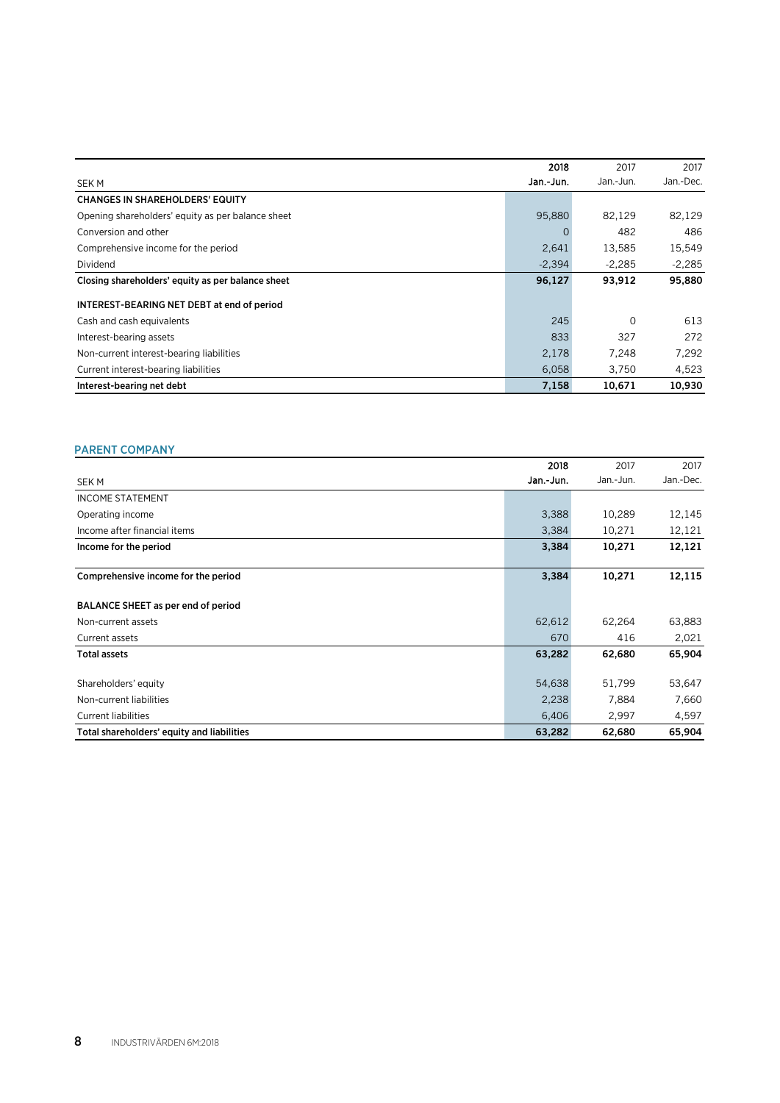|                                                   | 2018      | 2017      | 2017      |
|---------------------------------------------------|-----------|-----------|-----------|
| SEK M                                             | Jan.-Jun. | Jan.-Jun. | Jan.-Dec. |
| <b>CHANGES IN SHAREHOLDERS' EQUITY</b>            |           |           |           |
| Opening shareholders' equity as per balance sheet | 95,880    | 82,129    | 82,129    |
| Conversion and other                              | $\Omega$  | 482       | 486       |
| Comprehensive income for the period               | 2,641     | 13,585    | 15,549    |
| Dividend                                          | $-2,394$  | $-2.285$  | $-2.285$  |
| Closing shareholders' equity as per balance sheet | 96,127    | 93,912    | 95,880    |
| INTEREST-BEARING NET DEBT at end of period        |           |           |           |
| Cash and cash equivalents                         | 245       | $\Omega$  | 613       |
| Interest-bearing assets                           | 833       | 327       | 272       |
| Non-current interest-bearing liabilities          | 2,178     | 7.248     | 7.292     |
| Current interest-bearing liabilities              | 6,058     | 3,750     | 4,523     |
| Interest-bearing net debt                         | 7,158     | 10,671    | 10,930    |

### PARENT COMPANY **Example 20**

|                                            | 2018      | 2017      | 2017      |
|--------------------------------------------|-----------|-----------|-----------|
| SEK M                                      | Jan.-Jun. | Jan.-Jun. | Jan.-Dec. |
| <b>INCOME STATEMENT</b>                    |           |           |           |
| Operating income                           | 3,388     | 10,289    | 12,145    |
| Income after financial items               | 3,384     | 10,271    | 12,121    |
| Income for the period                      | 3,384     | 10,271    | 12,121    |
|                                            |           |           |           |
| Comprehensive income for the period        | 3,384     | 10,271    | 12,115    |
| BALANCE SHEET as per end of period         |           |           |           |
| Non-current assets                         | 62,612    | 62,264    | 63,883    |
| Current assets                             | 670       | 416       | 2,021     |
| <b>Total assets</b>                        | 63,282    | 62,680    | 65,904    |
| Shareholders' equity                       | 54,638    | 51,799    | 53,647    |
| Non-current liabilities                    | 2,238     | 7,884     | 7,660     |
| <b>Current liabilities</b>                 | 6,406     | 2,997     | 4,597     |
| Total shareholders' equity and liabilities | 63,282    | 62,680    | 65,904    |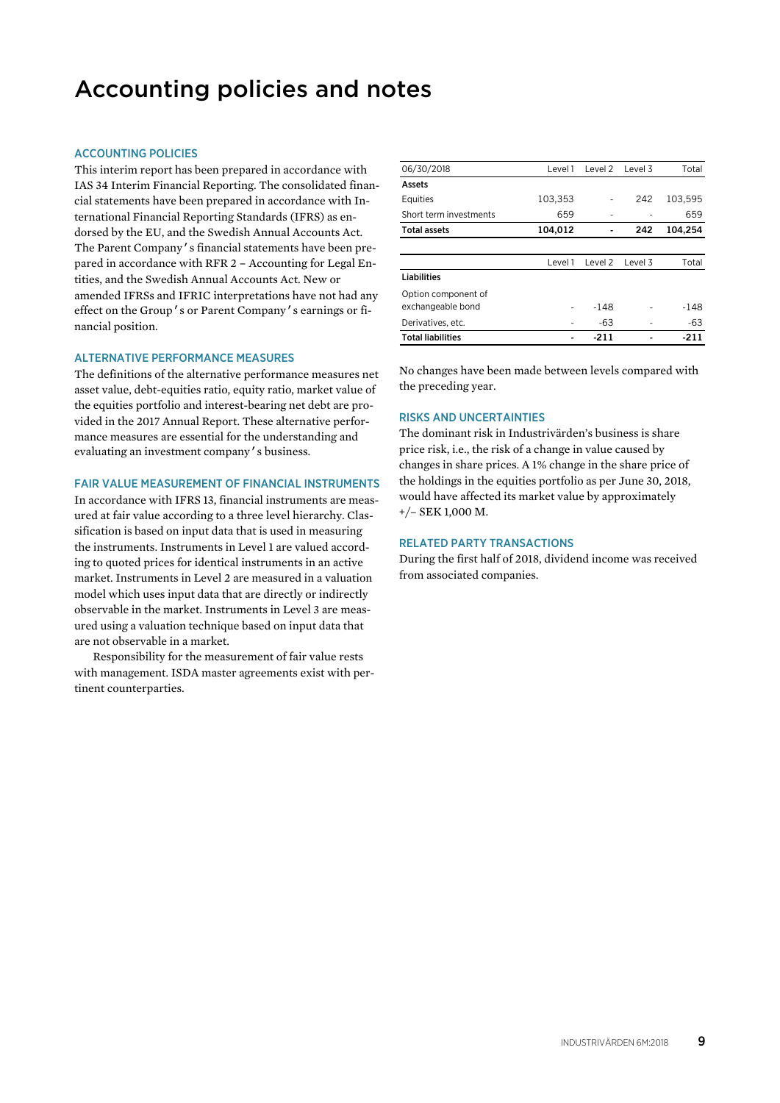### Accounting policies and notes

### ACCOUNTING POLICIES

This interim report has been prepared in accordance with IAS 34 Interim Financial Reporting. The consolidated financial statements have been prepared in accordance with International Financial Reporting Standards (IFRS) as endorsed by the EU, and the Swedish Annual Accounts Act. The Parent Company's financial statements have been prepared in accordance with RFR 2 – Accounting for Legal Entities, and the Swedish Annual Accounts Act. New or amended IFRSs and IFRIC interpretations have not had any effect on the Group's or Parent Company's earnings or financial position.

### ALTERNATIVE PERFORMANCE MEASURES

The definitions of the alternative performance measures net asset value, debt-equities ratio, equity ratio, market value of the equities portfolio and interest-bearing net debt are provided in the 2017 Annual Report. These alternative performance measures are essential for the understanding and evaluating an investment company's business.

### FAIR VALUE MEASUREMENT OF FINANCIAL INSTRUMENTS

In accordance with IFRS 13, financial instruments are measured at fair value according to a three level hierarchy. Classification is based on input data that is used in measuring the instruments. Instruments in Level 1 are valued according to quoted prices for identical instruments in an active market. Instruments in Level 2 are measured in a valuation model which uses input data that are directly or indirectly observable in the market. Instruments in Level 3 are measured using a valuation technique based on input data that are not observable in a market.

Responsibility for the measurement of fair value rests with management. ISDA master agreements exist with pertinent counterparties.

| 06/30/2018               | Level 1 | Level 2 | Level 3 | Total   |
|--------------------------|---------|---------|---------|---------|
| Assets                   |         |         |         |         |
| Equities                 | 103,353 |         | 242     | 103,595 |
| Short term investments   | 659     |         |         | 659     |
| <b>Total assets</b>      | 104,012 |         | 242     | 104,254 |
|                          |         |         |         |         |
|                          | Level 1 | Level 2 | Level 3 | Total   |
| <b>Liabilities</b>       |         |         |         |         |
| Option component of      |         |         |         |         |
| exchangeable bond        |         | $-148$  |         | $-148$  |
| Derivatives, etc.        |         | -63     |         | -63     |
| <b>Total liabilities</b> |         | -211    |         | -211    |

No changes have been made between levels compared with the preceding year.

### RISKS AND UNCERTAINTIES

The dominant risk in Industrivärden's business is share price risk, i.e., the risk of a change in value caused by changes in share prices. A 1% change in the share price of the holdings in the equities portfolio as per June 30, 2018, would have affected its market value by approximately +/– SEK 1,000 M.

### RELATED PARTY TRANSACTIONS

During the first half of 2018, dividend income was received from associated companies.